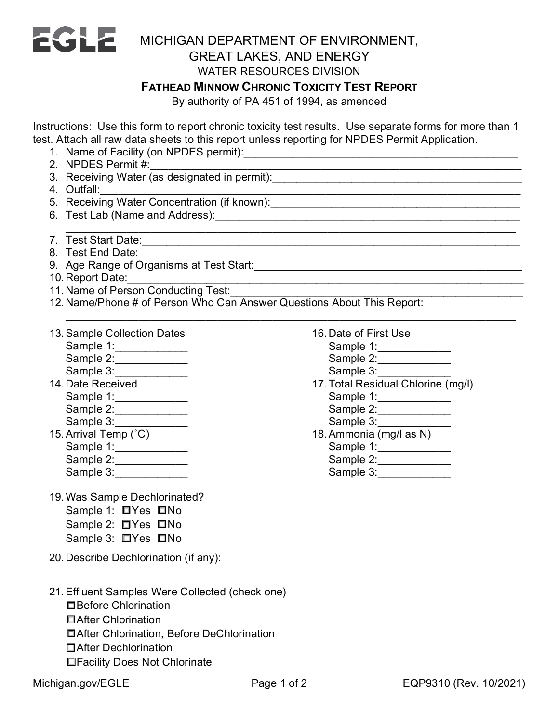

## WATER RESOURCES DIVISION

## **FATHEAD MINNOW CHRONIC TOXICITY TEST REPORT**

By authority of PA 451 of 1994, as amended

Instructions: Use this form to report chronic toxicity test results. Use separate forms for more than 1 test. Attach all raw data sheets to this report unless reporting for NPDES Permit Application.

\_\_\_\_\_\_\_\_\_\_\_\_\_\_\_\_\_\_\_\_\_\_\_\_\_\_\_\_\_\_\_\_\_\_\_\_\_\_\_\_\_\_\_\_\_\_\_\_\_\_\_\_\_\_\_\_\_\_\_\_\_\_\_\_\_\_\_\_\_\_\_\_\_\_

- 1. Name of Facility (on NPDES permit):\_\_\_\_\_\_\_\_\_\_\_\_\_\_\_\_\_\_\_\_\_\_\_\_\_\_\_\_\_\_\_\_\_\_\_\_\_\_\_\_\_\_\_\_\_
- 2. NPDES Permit #:\_\_\_\_\_\_\_\_\_\_\_\_\_\_\_\_\_\_\_\_\_\_\_\_\_\_\_\_\_\_\_\_\_\_\_\_\_\_\_\_\_\_\_\_\_\_\_\_\_\_\_\_\_\_\_\_\_\_\_\_\_
- 3. Receiving Water (as designated in permit):\_\_\_\_\_\_\_\_\_\_\_\_\_\_\_\_\_\_\_\_\_\_\_\_\_\_\_\_\_\_\_\_\_
- 4. Outfall:\_\_\_\_\_\_\_\_\_\_\_\_\_\_\_\_\_\_\_\_\_\_\_\_\_\_\_\_\_\_\_\_\_\_\_\_\_\_\_\_\_\_\_\_\_\_\_\_\_\_\_\_\_\_\_\_\_\_\_\_\_\_\_\_\_\_\_\_\_
- 5. Receiving Water Concentration (if known):\_\_\_\_\_\_\_\_\_\_\_\_\_\_\_\_\_\_\_\_\_\_\_\_\_\_\_\_\_\_\_\_\_\_
- 6. Test Lab (Name and Address):\_\_\_\_\_\_\_\_\_\_\_\_\_\_\_\_\_\_\_\_\_\_\_\_\_\_\_\_\_\_\_\_\_\_\_\_\_\_\_\_\_\_\_\_\_\_\_\_\_\_
- \_\_\_\_\_\_\_\_\_\_\_\_\_\_\_\_\_\_\_\_\_\_\_\_\_\_\_\_\_\_\_\_\_\_\_\_\_\_\_\_\_\_\_\_\_\_\_\_\_\_\_\_\_\_\_\_\_\_\_\_\_\_\_\_\_\_\_\_\_\_\_\_\_\_ 7. Test Start Date:\_\_\_\_\_\_\_\_\_\_\_\_\_\_\_\_\_\_\_\_\_\_\_\_\_\_\_\_\_\_\_\_\_\_\_\_\_\_\_\_\_\_\_\_\_\_\_\_\_\_\_\_\_\_\_\_\_\_\_\_\_\_
- 8. Test End Date:\_\_\_\_\_\_\_\_\_\_\_\_\_\_\_\_\_\_\_\_\_\_\_\_\_\_\_\_\_\_\_\_\_\_\_\_\_\_\_\_\_\_\_\_\_\_\_\_\_\_\_\_\_\_\_\_\_\_\_\_\_\_\_
- 9. Age Range of Organisms at Test Start:\_\_\_\_\_\_\_\_\_\_\_\_\_\_\_\_\_\_\_\_\_\_\_\_\_\_\_\_\_\_\_\_\_\_\_\_\_\_\_\_\_\_\_\_
- 10. Report Date:\_\_\_\_\_\_\_\_\_\_\_\_\_\_\_\_\_\_\_\_\_\_\_\_\_\_\_\_\_\_\_\_\_\_\_\_\_\_\_\_\_\_\_\_\_\_\_\_\_\_\_\_\_\_\_\_\_\_\_\_\_\_\_\_\_
- 11. Name of Person Conducting Test:
- 12. Name/Phone # of Person Who Can Answer Questions About This Report:
- 13.Sample Collection Dates Sample 1: \_\_\_\_\_\_\_\_\_\_\_\_\_ Sample 2:\_\_\_\_\_\_\_\_\_\_\_\_ Sample 3: 14. Date Received Sample 1: \_\_\_\_\_\_\_\_\_\_\_\_ Sample 2:\_\_\_\_\_\_\_\_\_\_\_\_ Sample 3: \_\_\_\_\_\_\_\_\_\_\_\_
- 15. Arrival Temp (°C) Sample 1:\_\_\_\_\_\_\_\_\_\_\_\_\_\_ Sample 2:\_\_\_\_\_\_\_\_\_\_\_\_ Sample 3:
- 19.Was Sample Dechlorinated? Sample 1: □Yes □No Sample 2: □Yes □No Sample 3: □Yes □No
- 20. Describe Dechlorination (if any):
- 21.Effluent Samples Were Collected (check one)
	- ☐Before Chlorination
	- ☐After Chlorination
	- ☐After Chlorination, Before DeChlorination
	- ☐After Dechlorination
	- ☐Facility Does Not Chlorinate
- 16. Date of First Use Sample 1: \_\_\_\_\_\_\_\_\_\_\_\_\_
	- Sample 2:\_\_\_\_\_\_\_\_\_\_\_\_
	- Sample 3:\_\_\_\_\_\_\_\_\_\_\_\_
- 17.Total Residual Chlorine (mg/l) Sample 1:\_\_\_\_\_\_\_\_\_\_\_\_ Sample 2:\_\_\_\_\_\_\_\_\_\_\_\_ Sample 3:\_\_\_\_\_\_\_\_\_\_\_\_
- 18.Ammonia (mg/l as N)
	- Sample 1:\_\_\_\_\_\_\_\_\_\_\_\_\_
	- Sample 2:\_\_\_\_\_\_\_\_\_\_\_\_
	- Sample 3: